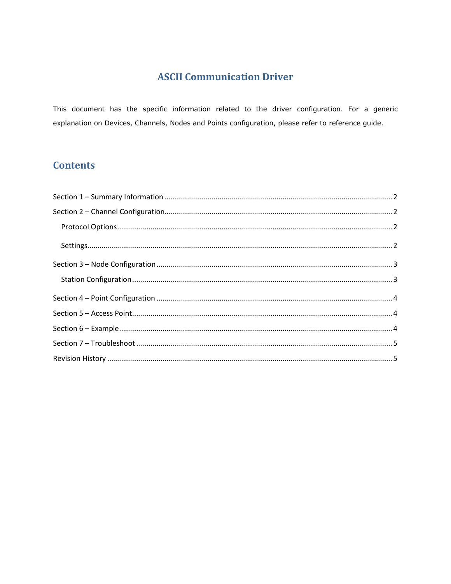## **ASCII Communication Driver**

This document has the specific information related to the driver configuration. For a generic explanation on Devices, Channels, Nodes and Points configuration, please refer to reference guide.

## **Contents**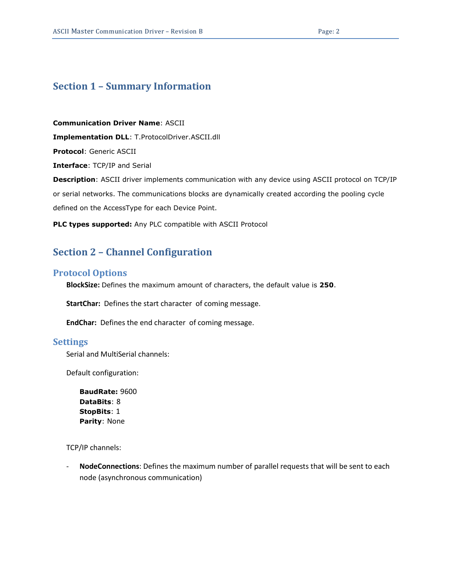#### <span id="page-1-0"></span>**Section 1 – Summary Information**

**Communication Driver Name**: ASCII **Implementation DLL**: T.ProtocolDriver.ASCII.dll **Protocol**: Generic ASCII **Interface**: TCP/IP and Serial **Description**: ASCII driver implements communication with any device using ASCII protocol on TCP/IP or serial networks. The communications blocks are dynamically created according the pooling cycle defined on the AccessType for each Device Point.

<span id="page-1-1"></span>**PLC types supported:** Any PLC compatible with ASCII Protocol

#### **Section 2 – Channel Configuration**

#### <span id="page-1-2"></span>**Protocol Options**

**BlockSize:** Defines the maximum amount of characters, the default value is **250**.

**StartChar:** Defines the start character of coming message.

**EndChar:** Defines the end character of coming message.

#### <span id="page-1-3"></span>**Settings**

Serial and MultiSerial channels:

Default configuration:

**BaudRate:** 9600 **DataBits**: 8 **StopBits**: 1 **Parity**: None

TCP/IP channels:

- **NodeConnections**: Defines the maximum number of parallel requests that will be sent to each node (asynchronous communication)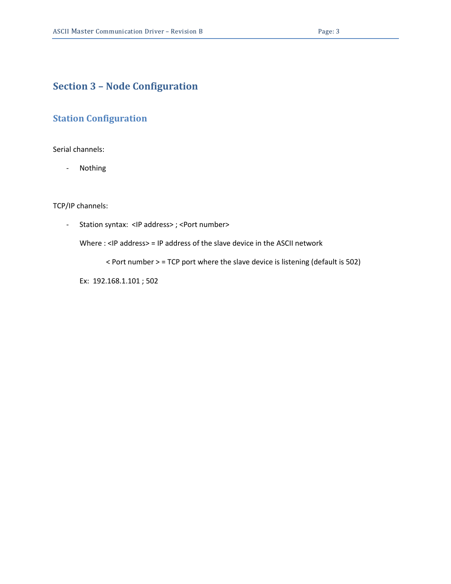### <span id="page-2-0"></span>**Section 3 – Node Configuration**

#### <span id="page-2-1"></span>**Station Configuration**

Serial channels:

- Nothing

TCP/IP channels:

- Station syntax: <IP address> ; <Port number>

Where : <IP address> = IP address of the slave device in the ASCII network

< Port number > = TCP port where the slave device is listening (default is 502)

Ex: 192.168.1.101 ; 502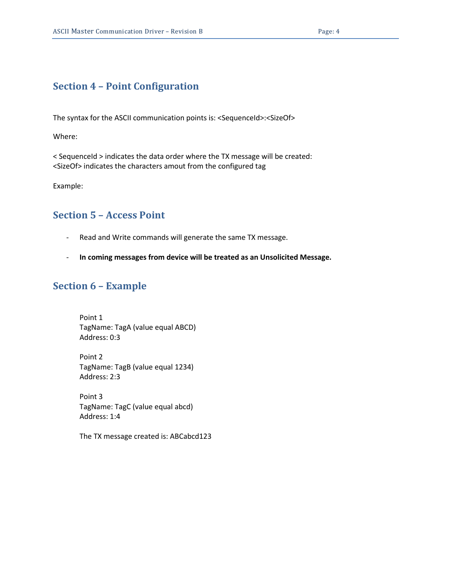## <span id="page-3-0"></span>**Section 4 – Point Configuration**

The syntax for the ASCII communication points is: <SequenceId>:<SizeOf>

Where:

< SequenceId > indicates the data order where the TX message will be created: <SizeOf> indicates the characters amout from the configured tag

<span id="page-3-1"></span>Example:

### **Section 5 – Access Point**

- Read and Write commands will generate the same TX message.
- <span id="page-3-2"></span>- **In coming messages from device will be treated as an Unsolicited Message.**

### **Section 6 – Example**

Point 1 TagName: TagA (value equal ABCD) Address: 0:3

Point 2 TagName: TagB (value equal 1234) Address: 2:3

Point 3 TagName: TagC (value equal abcd) Address: 1:4

The TX message created is: ABCabcd123